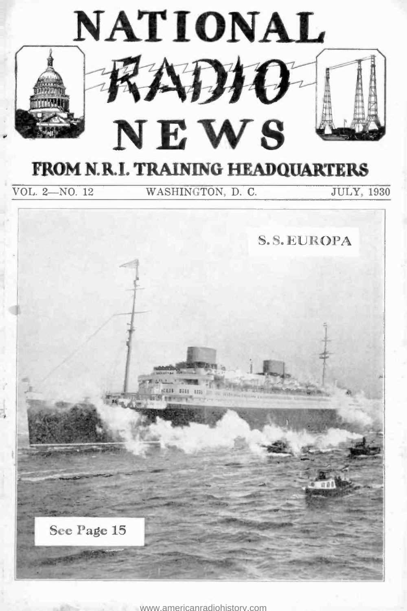

<www.americanradiohistory.com>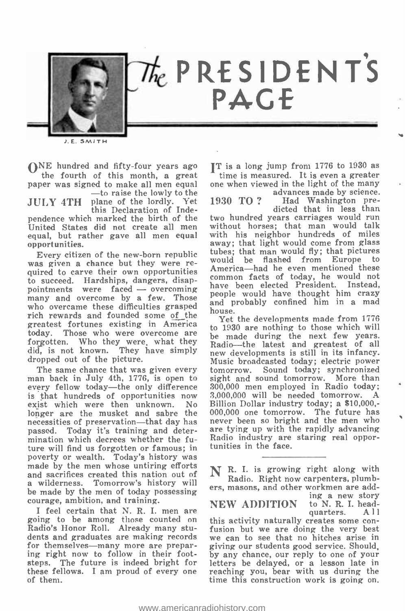

J.E. SMITH

 $\mathbf{O}^{\text{NE}}$  hundred and fifty-four years ago  $\mathbf{I}^{\text{T}}$  is a long jump from 1776 to 1930 as the fourth of this month, a great time is measured. It is even a greater the fourth of this month, a great

paper was signed to make all men equal one when vie<br>  $-$ to raise the lowly to the<br>
JULY 4TH plane of the lordly. Yet 1930 TO? plane of the lordly. Yet this Declaration of Independence which marked the birth of the equal, but rather gave all men equal, but rather gave all men equal

Every citizen of the new -born republic was given a chance but they were rewas given a thance but they were re-<br>quired to carve their own opportunities America—had he even mentioned these to succeed. Hardships, dangers, disappointments were faced  $-$  overcoming many and overcome by a few. Those who overcame these difficulties grasped rich rewards and founded some of the greatest fortunes existing in America today. Those who were overcome are forgotten. Who they were, what they did, is not known. They have simply new developments is still in its infancy. dropped out of the picture.

The same chance that was given every tomorrow. Sound today; sy<br>an back in July 4th, 1776, is open to sight and sound tomorrow. man back in July 4th, 1776, is open to every fellow today-the only difference is that hundreds of opportunities now exist which were then unknown. No longer are the musket and sabre the necessities of preservation—that day has passed. Today it's training and determination which decrees whether the future will find us forgotten or famous; in poverty or wealth. Today's history was made by the men whose untiring efforts and sacrifices created this nation out of a wilderness. Tomorrow's history will be made by the men of today possessing courage, ambition, and training.

I feel certain that N. R. I. men are going to be among those counted on Radio's Honor Roll. Already many stu-Radio's Honor Roll. Already many stu-<br>dents and graduates are making records we can to see that no hitches arise in<br>for themselves—many more are prepar- giving our students good service. Should. ing right now to follow in their footsteps. The future is indeed bright for letters be delayed, or a lesson late in these fellows. I am proud of every one of them.

IT is a long jump from 1776 to 1930 as one when viewed in the light of the many

advances made by science. 1930 TO ? Had Washington pre-dicted that in less than

two hundred years carriages would run without horses; that man would talk with his neighbor hundreds of miles away; that light would come from glass tubes; that man would fly; that pictures would be flashed from Europe to common facts of today, he would not have been elected President. Instead, people would have thought him crazy and probably confined him in a mad house.

Yet the developments made from 1776 to 1930 are nothing to those which will be made during the next few years. Radio-the latest and greatest of all Music broadcasted today; electric power tomorrow. Sound today; synchronized sight and sound tomorrow. More than 300,000 men employed in Radio today; 3,000,000 will be needed tomorrow. A Billion Dollar industry today; a \$10,000; 000,000 one tomorrow. The future has never been so bright and the men who are tying up with the rapidly advancing Radio industry are staring real opportunities in the face.

N R. I. is growing right along with Radio. Right now carpenters, plumbers, masons, and other workmen are add-<br>ing a new story

**NEW ADDITION** to N. R. I. head-<br>quarters.  $\begin{bmatrix} 1 & 1 \\ 0 & 1 \end{bmatrix}$ 

quarters. A 11<br>this activity naturally creates some conwe can to see that no hitches arise in giving our students good service. Should, by any chance, our reply to one of your reaching you, bear with us during the time this construction work is going on.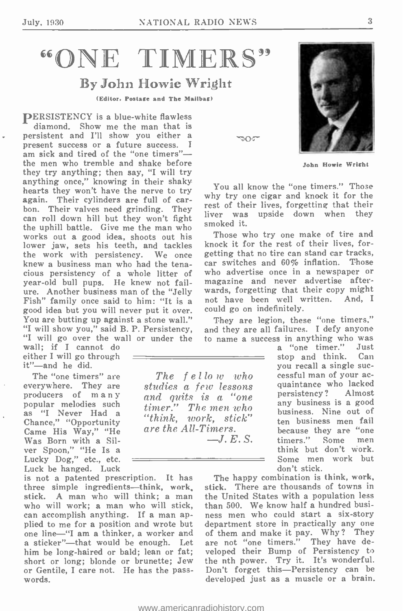# "ONE TIMERS"

## By John Howie Wright

(Editor, Postage and The Mailbag)

PERSISTENCY is a blue-white flawless diamond. Show me the man that is persistent and I'll show you either a  $\gamma_{\text{O}}$ <br>present success or a future success. I<br>am sick and tired of the "one timers" the men who tremble and shake before they try anything; then say, "I will try anything once," knowing in their shaky hearts they won't have the nerve to try again. Their cylinders are full of carbon. Their valves need grinding. They can roll down hill but they won't fight the uphill battle. Give me the man who works out a good idea, shoots out his lower jaw, sets his teeth, and tackles the work with persistency. We once knew a business man who had the tenacious persistency of a whole litter of year -old bull pups. He knew not fail-Fish" family once said to him: "It is a good idea but you will never put it over.<br>You are butting up against a stone wall." "I will show you," said B. P. Persistency, "I will go over the wall or under the wall; if I cannot do

either I will go through  $it''$  -and he did.

The "one timers" are everywhere. They are<br>producers of many popular melodies such<br>as "I Never Had a<br>Chance," "Opportunity Came His Way," "He<br>Was Born with a Silver Spoon," "He Is a<br>Lucky Dog," etc., etc. Luck be hanged. Luck

is not a patented prescription. It has three simple ingredients—think, work, stick. A man who will think; a man who will work; a man who will stick, can accomplish anything. If a man ap-<br>plied to me for a position and wrote but plied to me for a position and wrote but one line -"I am a thinker, a worker and a sticker"-that would be enough. Let him be long-haired or bald; lean or fat;<br>short or long; blonde or brunette; Jew or Gentile, I care not. He has the passwords.

John Howie Wright

You all know the "one timers." Those why try one cigar and knock it for the rest of their lives, forgetting that their liver was upside down when they smoked it.

Those who try one make of tire and knock it for the rest of their lives, forgetting that no tire can stand car tracks, car switches and 60% inflation. Those who advertise once in a newspaper or magazine and never advertise afterwards, forgetting that their copy might not have been well written. And, I could go on indefinitely.

They are legion, these "one timers," and they are all failures. I defy anyone to name a success in anything who was

a "one timer." Just stop and think. Can<br>you recall a single successful man of your ac-<br>quaintance who lacked persistency? Almost any business is a good business. Nine out of ten business men fail because they are "one<br>timers." Some men think but don't work. Some men work but don't stick.

The happy combination is think, work, stick. There are thousands of towns in the United States with a population less than 500. We know half a hundred business men who could start a six-story of them and make it pay. Why? They are not "one timers." They have developed their Bump of Persistency to the nth power. Try it. It's wonderful. Don't forget this-Persistency can be developed just as a muscle or a brain.



 $\mathcal{R}$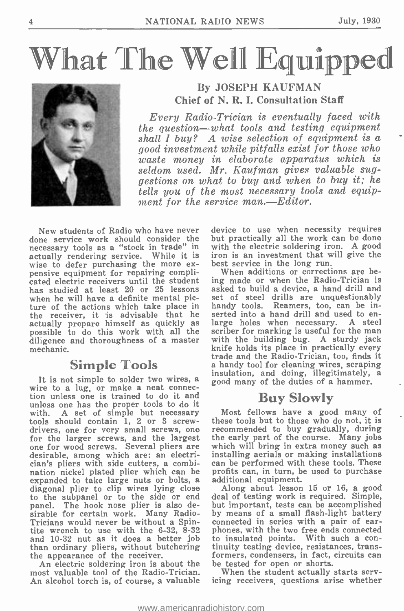# What The Well Equipped



## By JOSEPH KAUFMAN Chief of N. R. I. Consultation Staff

Every Radio -Trician is eventually faced with  $the\ question—what\ tools\ and\ testing\ equivalent$ shall  $I$  buy? A wise selection of equipment is a good investment while pitfalls exist for those who waste money in elaborate apparatus which is seldom used. Mr. Kaufman gives valuable suggestions on what to buy and when to buy it; he tells you of the most necessary tools and equipment for the service man.-Editor.

New students of Radio who have never done service work should consider the necessary tools as a "stock in trade" in actually rendering service. While it is wise to defer purchasing the more ex-<br>pensive equipment for repairing complicated electric receivers until the student has studied at least 20 or 25 lessons when he will have a definite mental picture of the actions which take place in the receiver, it is advisable that he serted into a hand drill and used to en-<br>actually prepare himself as quickly as large holes when necessary. A steel actually prepare himself as quickly as possible to do this work with all the diligence and thoroughness of a master with the building bug. A sturdy jack<br>mechanic. knife holds its place in practically every mechanic.

## Simple Tools

It is not simple to solder two wires, a insulation, and doing, illegitimately, a<br>wire to a lug, or make a neat connec-<br>tion unless one is trained to do it and<br> $\mathbb{R}_{\mathbb{N}} \times \mathbb{S}$ unless one has the proper tools to do it with. A set of simple but necessary<br>tools should contain 1, 2 or 3 screwdrivers, one for very small screws, one recommended to buy gradually, during<br>for the larger screws, and the largest the early part of the course. Many jobs<br>one for wood screws. Several pliers are which will bring in extra desirable, among which are: an electrician's pliers with side cutters, a combination nickel plated plier which can be profits can, in turn, be used to purchase expanded to take large nuts or bolts, a additional equipment. diagonal plier to clip wires lying close Along about lesson 15 or 16, a good to the subpanel or to the side or end panel. The hook nose plier is also de-<br>sirable for certain work. Many Radio-Tricians would never be without a Spin-connected in series with a pair of ear-<br>tite wrench to use with the 6-32, 8-32 phones, with the two free ends connected and 10 -32 nut as it does a better job than ordinary pliers, without butchering the appearance of the receiver.

An electric soldering iron is about the be tested for open or shorts. most valuable tool of the Radio-Trician. An alcohol torch is, of course, a valuable

device to use when necessity requires but practically all the work can be done with the electric soldering iron. A good iron is an investment that will give the best service in the long run.

When additions or corrections are being made or when the Radio-Trician is asked to build a device, a hand drill and set of steel drills are unquestionably handy tools. Reamers, too, can be inserted into a hand drill and used to en- large holes when necessary. A steel scriber for marking is useful for the man with the building bug. A sturdy jack<br>knife holds its place in practically every<br>trade and the Radio-Trician, too, finds it<br>a handy tool for cleaning wires, scraping

## uy Slowly

Most fellows have a good many of these tools but to those who do not, it is recommended to buy gradually, during which will bring in extra money such as installing aerials or making installations can be performed with these tools. These

deal of testing work is required. Simple, but important, tests can be accomplished by means of a small flash-light battery phones, with the two free ends connected to insulated points. With such a con- tinuity testing device, resistances, transformers, condensers, in fact, circuits can

When the student actually starts servicing receivers, questions arise whether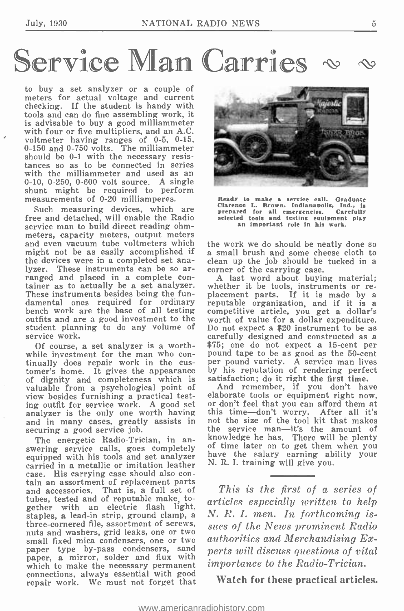# Service Man Carries

to buy a set analyzer or a couple of meters for actual voltage and current checking. If the student is handy with tools and can do fine assembling work, it is advisable to buy a good milliammeter with four or five multipliers, and an A.C. voltmeter having ranges of  $0-5$ ,  $0-15$ , 0-150 and 0-750 volts. The milliammeter should be 0-1 with the necessary resistances so as to be connected in series with the milliammeter and used as an 0-10, 0-250, 0-600 volt source. A single shunt might be required to perform measurements of 0-20 milliamperes.

Such measuring devices, which are free and detached, will enable the Radio service man to build direct reading ohmmeters, capacity meters, output meters<br>and even vacuum tube voltmeters which the work we do should be neatly done so and even vacuum tube voltmeters which might not be as easily accomplished if a small brush and some cheese cloth to the devices were in a completed set ana-<br>clean up the job should be tucked in a the devices were in a completed set analyzer. These instruments can be so arlyzer. These instruments can be so ar-<br>
ranged and placed in a complete con-<br>
tainer as to actually be a set analyzer. Whether it be tools, instruments or re-<br>
These instruments besides being the fun-<br>
placement parts. If These instruments besides being the fundamental ones required for ordinary reputable organization, and if it is a bench work are the base of all testing competitive article, you get a dollar's bench work are the base of all testing outfits and are a good investment to the service work.

Of course, a set analyzer is a worthtinually does repair work in the cus-<br>tomer's home. It gives the appearance of dignity and completeness which is valuable from a psychological point of view besides furnishing a practical testing outfit for service work. A good set or don't feel that you can afford them at analyzer is the only one worth having and in many cases, greatly assists in securing a good service job.

The energetic Radio-Trician, in answering service calls, goes completely of time later on to get them when you<br>equipped with his tools and set analyzer have the salary earning ability your equipped with his tools and set analyzer case. His carrying case should also con-<br>tain an assortment of replacement parts and accessories. That is, a full set of tubes, tested and of reputable make, together with an electric flash light,<br>staples, a lead-in strip, ground clamp, a three-cornered file, assortment of screws, nuts and washers, grid leaks, one or two small fixed mica condensers, one or two paper type by-pass condensers, sand  $pe$ paper, a mirror, solder and flux with  $\frac{\rho e}{\dot{m}}$ which to make the necessary permanent connections, always essential with good repair work. We must not forget that



Ready to make a service call. Graduate Clarence L. Brown, Indianapolis, Ind.. is prepared for all emergencies. Carefully selected tools and testing equipment play an important role in his work.

a small brush and some cheese cloth to

student planning to do any volume of Do not expect a \$20 instrument to be as<br>service work.<br>carefully designed and constructed as a A last word about buying material; worth of value for a dollar expenditure. Do not expect a \$20 instrument to be as \$75; one do not expect a 15-cent per pound tape to be as good as the 50-cent per pound variety. A service man lives by his reputation of rendering perfect<br>satisfaction; do it right the first time.

And remember, if you don't have elaborate tools or equipment right now, or don't feel that you can afford them at this time -don't worry. After all it's not the size of the tool kit that makes the service man—it's the amount of knowledge he has. There will be plenty of time later on to get them when you have the salary earning ability your N. R. I. training will give you.

This is the first of a series of articles especially written to help N. R. I. men. In forthcoming issues of the News prominent Radio authorities and Merchandising Experts will discuss questions of vital importance to the Radio-Trician.

Watch for these practical articles.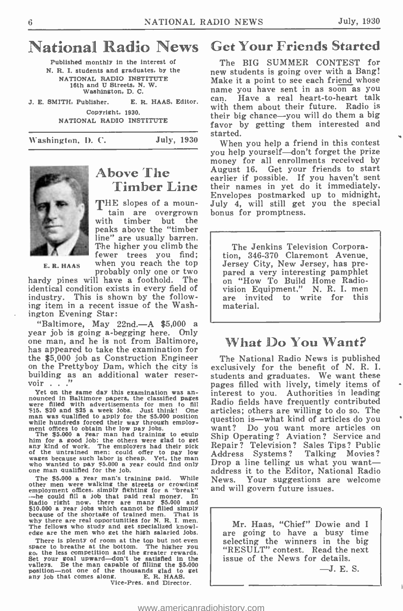## National Radio News

Published monthly in the interest of N. R. I. students and graduates, by the NATIONAL RADIO INSTITUTE 16th and U Streets, N. W. Washington, D. C.

J. E. SMITH, Publisher. E. R. HAAS, Editor.  $\begin{bmatrix} can. \\ \cdot \end{bmatrix}$ Copyright, 1930. NATIONAL RADIO INSTITUTE

Washington, D. C. July, 1930



## Above The Timber Line

E.R. HAAS When you reach the top<br>probably only one or two THE slopes of a moun-<br>tain are overgrown<br>with timber but the peaks above the "timber line" are usually barren. The higher you climb the fewer trees you find; when you reach the top<br>probably only one or two<br>il have a foothold. The

hardy pines will have a foothold. identical condition exists in every field of industry. This is shown by the following item in a recent issue of the Washington Evening Star:

"Baltimore, May 22nd. -A \$5,000 a year job is going a- begging here. Only one man, and he is not from Baltimore, has appeared to take the examination for<br>the \$5,000 job as Construction Engineer on the Prettyboy Dam, which the city is building as an additional water reservoir . . ."<br>Yet on the same day this examination was an-

Yet on the same day this examination was an-<br>nounced in Baltimore papers, the classified pages<br>were filled with advertisements for men to fill<br>I \$15. \$20 and \$25 a week jobs. Just think! One man was qualified to apply for the \$5.000 position while hundreds forced their way through employ-<br>ment offices to obtain the low pay Jobs.

The  $$5.000$  a year man had training to equip  $\overline{S}$  him for a good Job; the others were glad to get any kind of work. The employers had their pick of the untrained men; could offer to pay low  $\overline{A}$ wages because such labor is cheap. Yet, the man who wanted to pay \$5.000 a year could find only one man qualified for the Job.

The  $$5.000$  a year man's training paid. While Nother men were walking the streets or crowding  $\mu$  employment offices, simply fightling for a "break" and  $-\text{he}$  could fill a job that paid real money. In Radio right now, \$10.000 a year jobs which cannot be filled simply because of the shortage of trained men. That is why there are real opportunities for N. R. I. men. The fellows who study and get specialized knowl-The fellows who study and get specialized knowledge are the men who get the high salaried jobs.

There is plenty of room at the top but not even space to breathe at the bottom. The higher you<br>go, the less competition and the greater rewards. Set your goal upward -don't be satisfied in the valleys. Be the man capable of filling the \$5,000 position -not one of the thousands glad to get any Job that comes along. E. R. HAAS. Vice -Pres. and Director.

Get Your Friends Started

The BIG SUMMER CONTEST for new students is going over with a Bang! Make it a point to see each friend whose<br>name you have sent in as soon as you Have a real heart-to-heart talk with them about their future. Radio is their big chance—you will do them a big favor by getting them interested and started.

When you help a friend in this contest you help yourself-don't forget the prize money for all enrollments received by August 16. Get your friends to start earlier if possible. If you haven't sent their names in yet do it immediately. Envelopes postmarked up to midnight, July 4, will still get you the special bonus for promptness.

The Jenkins Television Corporation, 346-370 Claremont Avenue,<br>Jersey City, New Jersey, has prepared a very interesting pamphlet<br>on "How To Build Home Radio-<br>vision Equipment." N. R. I. men<br>are invited to write for this material.

## What Do You Want?

The National Radio News is published exclusively for the benefit of N. R. I. students and graduates. We want these pages filled with lively, timely items of interest to you. Authorities in leading Radio fields have frequently contributed articles; others are willing to do so. The want? Do you want more articles on Ship Operating? Aviation? Service and Repair? Television? Sales Tips? Public Drop a line telling us what you want address it to the Editor, National Radio News. Your suggestions are welcome and will govern future issues.

Mr. Haas, "Chief" Dowie and I are going to have a busy time selecting the winners in the big "RESULT" contest. Read the next issue of the News for details.<br> $-J. E. S.$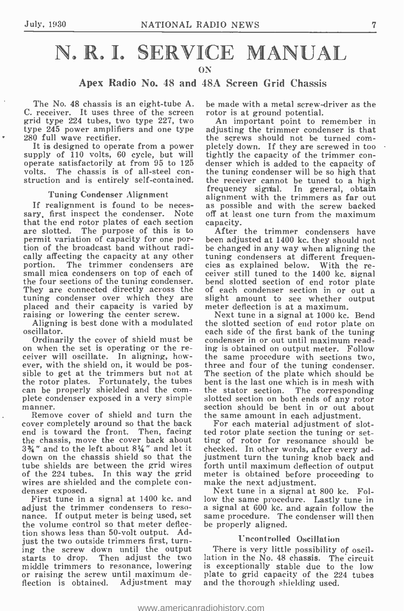## N. R. I. SERVICE MANUAL ON

### Apex Radio No. 48 and 48A Screen Grid Chassis

The No. 48 chassis is an eight-tube A. be made with a metal screw-<br>receiver. It uses three of the screen rotor is at ground potential. C. receiver. It uses three of the screen grid type 224 tubes, two type 227, two type 245 power amplifiers and one type 280 full wave rectifier.<br>It is designed to operate from a power

It is designed to operate from a power pletely down. If they are screwed in too supply of 110 volts, 60 cycle, but will tightly the capacity of the trimmer conoperate satisfactorily at from 95 to 125 denser which is added to the capacity of volts. The chassis is of all-steel con- the tuning condenser will be so high that struction and is entirely self-contained. the receiver cannot be tuned to a high

#### Tuning Condenser Alignment

If realignment is found to be neces- as possible and with the screw backed sary, first inspect the condenser. Note off at least one turn from the maximum that the end rotor plates of each section capacity. that the end rotor plates of each section are slotted. The purpose of this is to permit variation of capacity for one por- tion of the broadcast band without radically affecting the capacity at any other<br>portion. The trimmer condensers are small mica condensers on top of each of the four sections of the tuning condenser. bend slotted section of end rotor plate<br>They are connected directly across the of each condenser section in or out a They are connected directly across the of each condenser section in or out a tuning condenser over which they are slight amount to see whether output tuning condenser over which they are slig placed and their capacity is varied by metalsing or lowering the center screw.<br>Aligning is best done with a modulated the

oscillator.

Ordinarily the cover of shield must be on when the set is operating or the receiver will oscillate. In aligning, however, with the shield on, it would be possible to get at the trimmers but not at<br>the rotor plates. Fortunately, the tubes can be properly shielded and the com-<br>plete condenser exposed in a very simple slotted section on both ends of any rotor manner.

Remove cover of shield and turn the the same amount in each adjustment.<br>cover completely around so that the back For each material adjustment of s end is toward the front. Then, facing ted<br>the chassis, move the cover back about ting  $3\frac{3}{4}$ " and to the left about  $8\frac{1}{4}$ " and let it che  $3\frac{3}{4}$ " and to the left about  $8\frac{1}{4}$ " and let it checked. In other words, after every addown on the chassis shield so that the justment turn the tuning knob back and tube shields are between the grid wires forth until maximum deflection of output of the 224 tubes. In this way the grid meter is obtained before proceeding to of the 224 tubes. In this way the grid meter is obtained before wires are shielded and the complete con- make the next adjustment. wires are shielded and the complete con-<br>denser exposed.<br>First tune in a signal at 1400 kc. and low the same procedure. Lastly tune in<br>in a signal at 1400 kc. and low the same procedure. Lastly tune in

adjust the trimmer condensers to resonance. If output meter is being used, set the volume control so that meter deflection shows less than 50 -volt output. Adjust the two outside trimmers first, turning the screw down until the output starts to drop. Then adjust the two middle trimmers to resonance, lowering or raising the screw until maximum deflection is obtained. Adjustment may

be made with a metal screw -driver as the

An important point to remember in adjusting the trimmer condenser is that the screws should not be turned comtightly the capacity of the trimmer conthe tuning condenser will be so high that frequency signial. In general, obtain alignment with the trimmers as far out off at least one turn from the maximum

The trimmer condensers are cies as explained below. With the re-<br>ca condensers on top of each of ceiver still tuned to the 1400 kc, signal After the trimmer condensers have been adjusted at 1400 kc. they should not be changed in any way when aligning the tuning condensers at different frequencies as explained below. With the rebend slotted section of end rotor plate of each condenser section in or out a slight amount to see whether output meter deflection is at a maximum.

Next tune in a signal at 1000 kc. Bend the slotted section of end rotor plate on each side of the first bank of the tuning condenser in or out until maximum reading is obtained on output meter. Follow three and four of the tuning condenser. The section of the plate which should be bent is the last one which is in mesh with the stator section. The corresponding section should be bent in or out about

For each material adjustment of slotted rotor plate section the tuning or setting of rotor for resonance should be justment turn the tuning knob back and forth until maximum deflection of output

Next tune in a signal at 800 kc. Fola signal at 600 kc. and again follow the same procedure. The condenser will then be properly aligned.

#### Uncontrolled Oscillation

There is very little possibility of oscillation in the No. 48 chassis. The circuit is exceptionally stable due to the low plate to grid capacity of the 224 tubes and the thorough shielding used.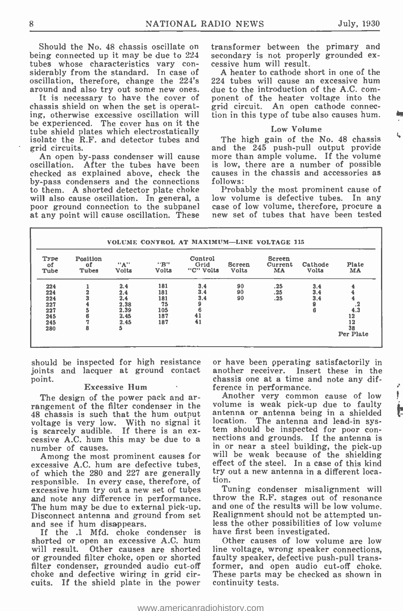Should the No. 48 chassis oscillate on transformer between t<br>being connected up it may be due to 224 secondary is not proper<br>tubes whose characteristics vary con- cessive hum will result. siderably from the standard. In case of

It is necessary to have the cover of ponent of the heater voltage into the chassis shield on when the set is operat- grid circuit. An open cathode connecing, otherwise excessive oscillation will be experienced. The cover has on it the tube shield plates which electrostatically isolate the R.F. and detector tubes and grid circuits.

oscillation. After the tubes have been checked as explained above, check the by -pass condensers and the connections to them. A shorted detector plate choke Probably the most prominent cause of will also cause oscillation. In general, a low volume is defective tubes. In any will also cause oscillation. In general, a poor ground connection to the subpanel case of low volume, therefore, procure a<br>at any point will cause oscillation. These new set of tubes that have been tested

transformer between the primary and secondary is not properly grounded ex-

oscillation, therefore, change the 224's 224 tubes will cause an excessive hum around and also try out some new ones. due to the introduction of the A.C. com-A heater to cathode short in one of the 224 tubes will cause an excessive hum ponent of the heater voltage into the tion in this type of tube also causes hum.

#### Low Volume

An open by-pass condenser will cause more than ample volume. If the volume The high gain of the No. 48 chassis and the 245 push-pull output provide is low, there are a number of possible causes in the chassis and accessories as follows:

Probably the most prominent cause of case of low volume, therefore, procure a

| Type<br>οf<br>Tube | Position<br>оf<br>Tubes | "A"<br><b>Volts</b> | "B"<br><b>Volts</b> | Control<br>Grid<br>"C" Volts | Screen<br>Volts | Screen<br>Current<br>MA | Cathode<br>Volts | Plate<br>MA     |
|--------------------|-------------------------|---------------------|---------------------|------------------------------|-----------------|-------------------------|------------------|-----------------|
| 224                |                         | 2.4                 | 181                 | 3.4                          | 90              | .25                     | 3.4              | 4               |
| 224                |                         | 2.4                 | 181                 | 3.4                          | 90              | .25                     | 3.4              |                 |
| 224<br>227         |                         | 2.4<br>2.38         | 181<br>75           | 3.4                          | 90              | .25                     | 3.4<br>9         |                 |
| 227                |                         | 2.39                | 105                 | 6                            |                 |                         | ß                | $\frac{1}{4.3}$ |
| 245                |                         | 2.45                | 187                 | 41                           |                 |                         |                  | 12              |
| 245                |                         | 2.45                | 187                 | 41                           |                 |                         |                  | 12              |
| 280                | 8                       | 5                   |                     |                              |                 |                         |                  | 38              |
|                    |                         |                     |                     |                              |                 |                         |                  | Per Plate       |

should be inspected for high resistance joints and lacquer at ground contact

#### **Excessive Hum**

The design of the power pack and arrangement of the filter condenser in the volume is weak pick-up due to faulty 48 chassis is such that the hum output antenna or antenna being in a shielded 48 chassis is such that the hum output ant voltage is very low. With no signal it located is scarcely audible. If there is an ex- cessive A.C. hum this may be due to a number of causes.

excessive A.C. hum are defective tubes,<br>of which the 280 and 227 are generally responsible. In every case, therefore, of excessive hum try out a new set of tubes and note any difference in performance. The hum may be due to external pick -up. Disconnect antenna and ground from set Realignment should not be attempted un-<br>and see if hum disappears. less the other possibilities of low volume

If the .1 Mfd. choke condenser is shorted or open an excessive A.C. hum<br>will result. Other causes are shorted or grounded filter choke, open or shorted faulty speaker, defective push-pull transfilter condenser, grounded audio cut-off for choke and defective wiring in grid circuits. If the shield plate in the power

or have been pperating satisfactorily in another receiver. Insert these in the chassis one at a time and note any dif-

number of causes.<br>Among the most prominent causes for will be weak because of the shielding Another very common cause of low volume is weak pick-up due to faulty location. The antenna and lead-in sys-<br>tem should be inspected for poor connections and grounds. If the antenna is<br>in or near a steel building, the pick-up effect of the steel. In a case of this kind try out a new antenna in a different location.

> Tuning condenser misalignment will throw the R.F. stages out of resonance and one of the results will be low volume. Realignment should not be attempted unhave first been investigated.

> Other causes of low volume are low line voltage, wrong speaker connections, former, and open audio cut-off choke. These parts may be checked as shown in continuity tests.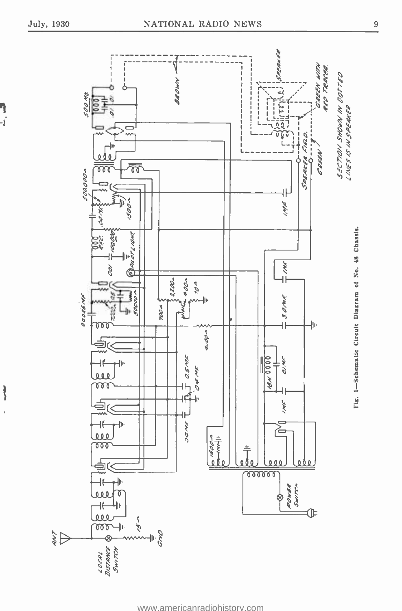ף<br>ג-

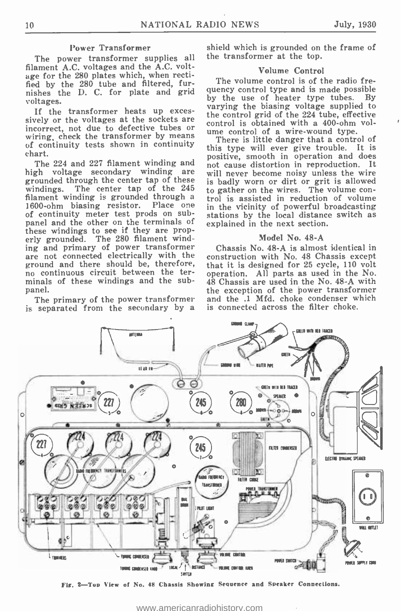#### Power Transformer

The power transformer supplies all filament A.C. voltages and the A.C. voltage for the 280 plates which, when rectified by the 280 tube and filtered, furnishes the D. C. for plate and grid  $\frac{qu}{hv}$ voltages.

If the transformer heats up exces- sively or the voltages at the sockets are incorrect, not due to defective tubes or control of a wire-wound type. wiring, check the transformer by means  $\frac{u}{v}$  There is little danger that a control of of continuity tests shown in continuity chart.

The 224 and 227 filament winding and<br>rh voltage secondary winding are high voltage secondary winding grounded through the center tap of these is badly worn or dirt or grit is allowed windings. The center tap of the  $245$  to gather on the wires. The volume conwindings. The center tap of the 245 filament winding is grounded through a 1600-ohm biasing resistor. Place one in the vicinity of powerful broadcasting of continuity meter test prods on sub-<br>panel and the other on the terminals of explained in the next sect these windings to see if they are properly grounded. The 280 filament winding and primary of power transformer are not connected electrically with the construction with No. 48 Chassis except<br>ground and there should be, therefore, that it is designed for 25 cycle, 110 volt no continuous circuit between the terminals of these windings and the sub-<br>panel.

The primary of the power transformer is separated from the secondary by a

shield which is grounded on the frame of the transformer at the top.

#### Volume Control

The volume control is of the radio frequency control type and is made possible<br>by the use of heater type tubes. By by the use of heater type tubes. varying the biasing voltage supplied to the control grid of the 224 tube, effective control is obtained with a 400-ohm vol-

this type will ever give trouble. It is positive, smooth in operation and does not cause distortion in reproduction. It will never become noisy unless the wire is badly worn or dirt or grit is allowed trol is assisted in reduction of volume stations by the local distance switch as explained in the next section.

#### Model No. 48-A

Chassis No. 48-A is almost identical in construction with No. 48 Chassis except operation. All parts as used in the No. 48 Chassis are used in the No. 48 -A with the exception of the power transformer and the .1 Mfd. choke condenser which is connected across the filter choke.



Fig. 2-Top View of No. 48 Chassis Showing Sequence and Speaker Connections.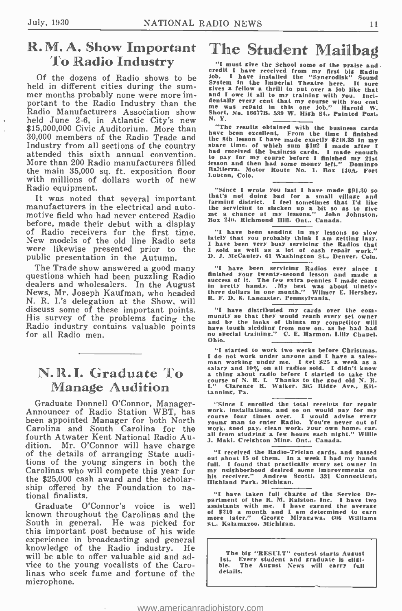# R. M. A. Show Important The Student Mailbag To Radio Industry<br>To Radio Industry<br>Of the dozens of Radio shows to be  $\frac{10b}{20b}$ . I have installed the "synerodisk" Sound

Of the dozens of Radio shows to be solution is that in the Imperial Theatre here. It sure that the low a system in the Imperial Theatre here. It sure held in different cities during the sum-<br>sives a fellow a thrill to put mer months probably none were more important to the Radio Industry than the Radio Manufacturers Association show short<br>held June 2-6, in Atlantic City's new  $N = N$ . Y. \$15,000,000 Civic Auditorium. More than "The results obtained with the business cards 30,000 members of the Radio Trade and the 8th lesson I have made exactly \$218.35 in my Industry from all sections of the country spare 30,000 members of the Radio Trade and attended this sixth annual convention. More than 200 Radio manufacturers filled the main 35,000 sq. ft. exposition floor Baltierra, Mo with millions of dollars worth of new Radio equipment.

It was noted that several important manufacturers in the electrical and automotive field who had never entered Radio<br>before, made their debut with a display before, made their debut with a display  $\frac{B\sigma x}{\sigma}$  of Radio receivers for the first time. New models of the old line Radio sets  $\begin{array}{cc} \text{late} \\ \text{I} \text{B} \end{array}$  were likewise presented prior to the  $\begin{array}{cc} \text{I} \text{B} \text{B} \end{array}$ were likewise presented prior to the<br>public presentation in the Autumn.

The Trade show answered a good many questions which had been puzzling Radio News, Mr. Joseph Kaufman, who headed three dollars in one month." Wilmond N. P. Line delegation of the Shemman R. F. D. 8. Lancaster, Pennsylvania. N. R. I.'s delegation at the Show, will His survey of the problems facing the Radio industry contains valuable points for all Radio men.

## N.R.I. Graduate To Manage Audition

Graduate Donnell O'Connor, Manager - Announcer of Radio Station WBT, has been appointed Manager for both North Carolina and South Carolina for the work, sood pay, clean work, your own home, car, fourth Atwater Kent National Radio Auof the details of arranging State auditions of the young singers in both the Carolinas who will compete this year for the \$25,000 cash award and the scholarship offered by the Foundation to national finalists.

Graduate O'Connor's voice is well known throughout the Carolinas and the  $_{\text{more}}^{\text{off}}$ South in general. He was picked for this important post because of his wide experience in broadcasting and general knowledge of the Radio industry. He will be able to offer valuable aid and advice to the young vocalists of the Carolinas who seek fame and fortune of the microphone.

sives a reliow a turn to put over a non interesting and I owe it all to my training with you. Inclemently every cent that my course with you cost me was repaid in this one job." Harold W.<br>me was repaid in this one job." H

spare time, or which business cards. I made enough<br>had received the business cards. I made enough<br>iesson and then had some money left." Domingo<br>iesson and then had some money left." Domingo<br>Baltierra. Motor Route No. 1, Bo

"Since I wrote you last I have made  $$91.30$  so<br>that's not doing bad for a small village and<br>farming district. I feel sometimes that I'd like<br>the servicing to slacken up a bit so as to give<br>me a chance at my lessons." Joh Box 240, Richmond Hill. Ont., Canada.

"I have been sending in my lessons so slow<br>lately that you probably think I am getting lazy.<br>I have been very busy servicing the Radios that <sup>I</sup>sold as well as a lot of cash repair work." D. J. McCauley, 61 Washington St., Denver, Colo.

"I have been servicing Radios ever since I<br>finished your twenty-second lesson and made a<br>success of it. The few extra pennies I made came<br>in pretty handy. My best was about ulnety-<br>three dollars in one month." Wilmer E. H

"I have distributed my cards over the com- munity so that they would reach every set owner and by the looks of things my competitor will have tough sledding from now on. as he had had no special training." C. E. Harmon, Lilly Chapel.<br>Ohio.

"I started to work two weeks before Christmas.<br>I do not work under anyone and I have a sales-I as not work under any one and I have a sales-<br>
man working under me. I get \$25 a week as a<br>
salary and 10% on all radios sold. I didn't know<br>
a thing about radio before I started to take the<br>
course of N. R. I. Thanks to tanning, Pa.

"Since I enrolled the total receipts for repair<br>work, installations, and so on would pay for my<br>course four times over. I would advise every<br>young man to enter Radio. You're never out of<br>work, sood pay, clean work, your ow J. Maki. Creishton Mine, Ont., Canada.

"I received the Radio -Trician cards. and passed out about 15 of them. In a week I had my hands full. I found that practically every set owner in my neighborhood desired some improvements on<br>his receiver." Andrew Scotti, 331 Connecticut,<br>Highland Park, Michigan.

'I have taken full charge of the Service Department of the R. M. Ralston. Inc. I have two assistants with me. I have earned the average of \$210 a month and 1 am determined to earn more later." George Miyagawa. 606 Williams St.. Kalamazoo. Michigan.

The big "RESULT" contest starts August<br>1st. Every student and graduate is eligi-<br>ble. The August News will carry full details.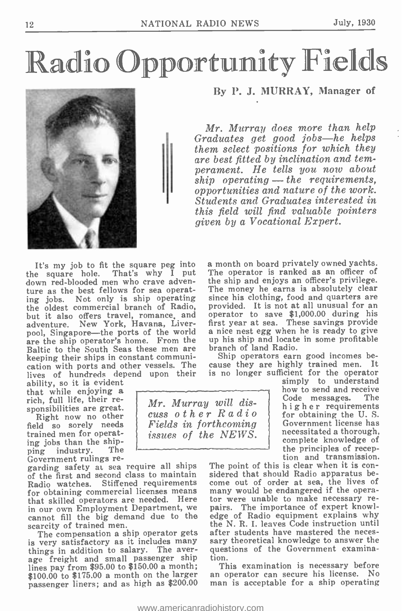# Radio Opportunity Fields



By P. J. MURRAY, Manager of

Mr. Murray does more than help Graduates get good jobs-he helps them select positions for which they are best fitted by inclination and temperament. He tells you now about  $ship$  operating  $-$  the requirements. opportunities and nature of the work. Students and Graduates interested in this field will find valuable pointers given by a Vocational Expert.

It's my job to fit the square peg into the square hole. That's why I put down red -blooded men who crave adventure as the best fellows for sea operating jobs. Not only is ship operating since his clothing, food and quarters are<br>the oldest commercial branch of Radio, provided. It is not at all unusual for an the oldest commercial branch of Radio, but it also offers travel, romance, and open adventure. New York, Havana, Liverpool, Singapore-the ports of the world are the ship operator's home. From the up his ship and locate<br>Boltic to the South Seas these men are branch of land Radio. Baltic to the South Seas these men are keeping their ships in constant communication with ports and other vessels. The lives of hundreds depend upon their

ability, so it is evident that while enjoying a rich, full life, their re-

Right now no other field so sorely needs trained men for operating jobs than the shipping industry. Government rulings re-

garding safety at sea require all ships The point of this is clear when it is con-<br>of the first and second class to maintain sidered that should Radio apparatus beof the first and second class to maintain Radio watches. Stiffened requirements for obtaining commercial licenses means that skilled operators are needed. Here in our own Employment Department, we cannot fill the big demand due to the

is very satisfactory as it includes many things in addition to salary. The average freight and small passenger ship lines pay from \$95.00 to \$150.00 a month; \$100.00 to \$175.00 a month on the larger an operator can secure his license. No<br>passenger liners: and as high as \$200.00 man is acceptable for a ship operating passenger liners; and as high as \$200.00

a month on board privately owned yachts. The operator is ranked as an officer of the ship and enjoys an officer's privilege. The money he earns is absolutely clear since his clothing, food and quarters are provided. It is not at all unusual for an operator to save \$1,000.00 during his first year at sea. These savings provide a nice nest egg when he is ready to give up his ship and locate in some profitable branch of land Radio.

Ship operators earn good incomes because they are highly trained men. It is no longer sufficient for the operator simply to understand

how to send and receive<br>Code messages. The higher requirements<br>for obtaining the U.S. Government license has necessitated a thorough, complete knowledge of the principles of reception and transmission.

The compensation a ship operator gets after students have mastered the necescome out of order at sea, the lives of many would be endangered if the operator were unable to make necessary repairs. The importance of expert knowledge of Radio equipment explains why the N. R. I. leaves Code instruction until sary theoretical knowledge to answer the questions of the Government examination.

This examination is necessary before an operator can secure his license. No

Mr. Murray will discuss other Radio Fields in forthcoming issues of the NEWS.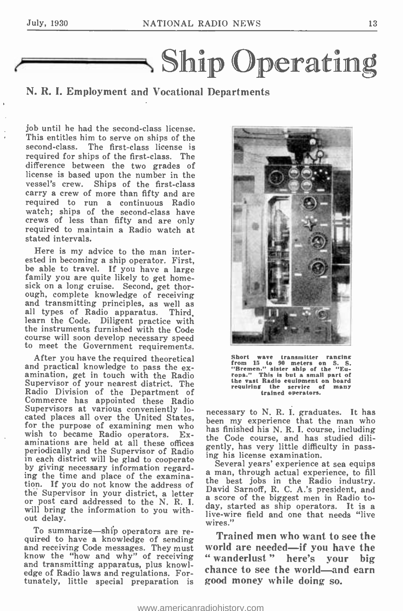

### N. R. I. Employment and Vocational Departments

job until he had the second -class license. This entitles him to serve on ships of the second-class. The first-class license is required for ships of the first-class. The difference between the two grades of license is based upon the number in the vessel's crew. Ships of the first-class carry a crew of more than fifty and are required to run a continuous Radio watch; ships of the second-class have<br>crews of less than fifty and are only required to maintain a Radio watch at stated intervals.

Here is my advice to the man interested in becoming a ship operator. First, be able to travel. If you have a large family you are quite likely to get homesick on a long cruise. Second, get thorough, complete knowledge of receiving and transmitting principles, as well as all types of Radio apparatus. Third, learn the Code. Diligent practice with the instruments furnished with the Code to meet the Government requirements.

After you have the required theoretical and practical knowledge to pass the ex- amination, get in touch with the Radio Supervisor of your nearest district. The Radio Division of the Department of Commerce has appointed these Radio Supervisors at various conveniently located places all over the United States. for the purpose of examining men who<br>wish to became Radio operators.  $Ex^*$  the folde course and has studied dil-<br>wish to became Radio operators.  $Ex^*$  the Code course and has studied dilwish to became Radio operators. aminations are held at all these offices periodically and the Supervisor of Radio<br>in each district will be glod to connected in this license examination. in each district will be glad to cooperate by giving necessary information regard- ing the time and place of the examination. If you do not know the address of the Supervisor in your district, a letter a score of the biggest men in Radio to-<br>or post card addressed to the N. R. I. downstand as ship energtons. It is a will bring the information to you without delay.

To summarize—ship operators are re-<br>quired to have a knowledge of sending and receiving Code messages. They must know the "how and why" of receiving and transmitting apparatus, plus knowledge of Radio laws and regulations. Fortunately, little special preparation is



Short wave transmitter ranging<br>from 15 to 90 meters on S. S.<br>"Bremen." sister ship of the "Eu-<br>ropa." This is but a small part of the vast Radio equipment on board requiring the service of many trained operators.

necessary to N. R. I. graduates. It has been my experience that the man who the Code course, and has studied diligently, has very little difficulty in pass-<br>ing his license examination.<br>Several years' experience at sea equips

a man, through actual experience, to fill the best jobs in the Radio industry.<br>David Sarnoff, R. C. A.'s president, and day, started as ship operators. It is a live -wire field and one that needs "live wires."

Trained men who want to see the world are needed—if you have the<br>"wanderlust" here's your big " wanderlust " here's your chance to see the world—and earn good money while doing so.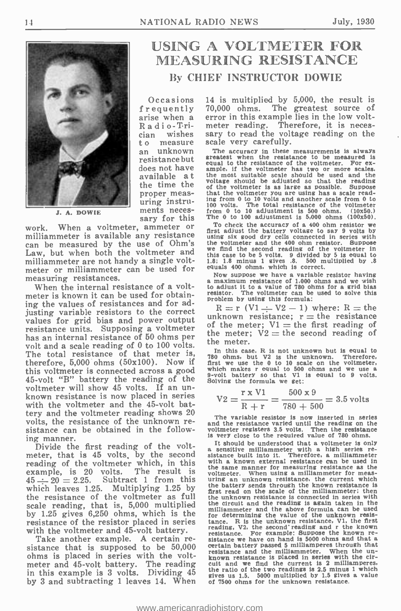

J. A. DOWIE

sary for this<br>When a voltmeter, ammeter or work. When a voltmeter, ammeter or  $\frac{1}{\text{first}}$ <br>milliammeter is available any resistance can be measured by the use of Ohm's the Law, but when both the voltmeter and we milliammeter are not handy a single voltmeter or milliammeter can be used for equals 400 ohms, which is correct. measuring resistances.

When the internal resistance of a voltmeter is known it can be used for obtaining the values of resistances and for adjusting variable resistors to the correct  $\frac{1}{\|x\|}$ values for grid bias and power output  $\theta$  of resistance units. Supposing a voltmeter has an internal resistance of 50 ohms per volt and a scale reading of  $\theta$  to  $100$  volts. The meter.<br>The tatal periodence of that meter is In this case. R is not unknown but is equal to The total resistance of that meter is, therefore, 5,000 ohms (50x100). Now if this voltmeter is connected across a good 45-volt "B" battery the reading of the  $^{9-90}_{8010}$ voltmeter will show 45 volts. If an un-<br>known resistance is now placed in series known resistance is now placed in series<br>with the voltmeter and the 45-volt battery and the voltmeter reading shows 20 volts, the resistance of the unknown resistance can be obtained in the following manner.

Divide the first reading of the voltmeter, that is 45 volts, by the second reading of the voltmeter which, in this with example, is 20 volts. The result is  $\frac{1}{20}$ <br>  $45 \div 20 = 2.25$ . Subtract 1 from this uring<br>
which leaves 1.25. Multiplying 1.25 by the the resistance of the voltmeter as full scale reading, that is, 5,000 multiplied the by  $1.25$  gives  $6,250$  ohms, which is the  $\frac{m_{11}}{60}$ resistance of the resistor placed in series with the voltmeter and 45-volt battery.<br>Take another example. A certain re-

sistance that is supposed to be 50,000 ohms is placed in series with the voltmeter and 45 -volt battery. The reading in this example is 3 volts. Dividing 45 by 3 and subtracting 1 leaves 14. When

## USING A VOLTMETER FOR MEASURING RESISTANCE By CHIEF INSTRUCTOR DOWIE

Occasions frequently arise when a R a di o-Trician wishes <sup>t</sup>o measure an unknown resistance but does not have available a t proper measuring instruments neces-

14 is multiplied by 5,000, the result is 70,000 ohms. The greatest source of error in this example lies in the low volt-<br>meter reading. Therefore, it is necessary to read the voltage reading on the scale very carefully.

the time the voitage should be adjusted so that the reading<br>proper meas-<br>that the voltmeter you are using has a scale read-The accuracy in these measurements is always greatest when the resistance to be measured is equal to the resistance of the voltmeter. For exequal to the resistance of the voltmeter. For ex-<br>ample, if the voltmeter has two or more scales,<br>the most suitable scale should be used and the<br>voltage should be adjusted so that the reading<br>of the voltmeter is as large a ing from 0 to 10 volts and another scale from 0 to 100 volts. The total resistance of the voltmeter from 0 to 10 adjustment is 500 ohms. (10x50.) The 0 to 100 adjustment is 5.000 ohms (100x50).

To check the accuracy of a 400 ohm resistor we first adjust the battery voltage to say 9 volts by using six good dry cells connected in series with the voltmeter and the 400 ohm resistor. Suppose we find the second reading of the voltmeter In this case to be 5 volts. 9 divided by 5 is equal to 1.8; 1.8 minus 1 gives .8. 500 multiplied by .8 equals 400 ohms, which is correct.

Now suppose we have a variable resistor having<br>a maximum resistance of 1.000 ohms and we wish<br>to adjust it to a value of 780 ohms for a grid bias<br>resistor. The voltmeter can be used to solve this problem by using this formula:

 $R = r$  (V1  $\div$  V2  $-$  1) where:  $R =$  the unknown resistance;  $r =$  the resistance of the meter;  $V1$  = the first reading of the meter;  $V2$  = the second reading of the meter.

In this case. R is not unknown but is equal to 780 ohms, but  $V^2$  is the unknown. Therefore, first we use the 0 to 10 scale on the voltmeter, which makes r equal to 500 ohms and we use a 9-volt battery so that  $V^1$  is e

$$
V2 = \frac{r \times V1}{R + r} = \frac{500 \times 9}{780 + 500} = 3.5
$$
 volts

The variable resistor is now inserted in series and the resistance varied until the reading on the voltmeter registers 3.5 volts. Then the resistance is very close to the required value of 780 ohms.

It should be understood that a voltmeter is only a sensitive milliammeter with a high series re-<br>sistance built into it. Therefore, a milliammeter with a known external resistance can be used in the same manner for measuring resistance as the voltmeter. When using a milliammeter for meas-<br>vring an unknown resistance, the current which the battery sends through the known resistance is<br>first read on the scale of the milliammeter; then<br>the unknown resistance is connected in series with the circuit and the reading is again taken in the milliammeter and the above formula can be used for determining the value of the unknown resistance. R is the unknown resistance, VI, the first tanding, V2, the second reading and r the known resistance. For example: Suppose the known re-<br>resistance. For example: Suppos resistance and the milliammeter. When the un- known resistance is placed in series with the circuit and we find the current is 2 milliamperes,<br>the ratio of the two readings is 2.5 minus 1 which<br>gives us 1.5. 5000 multiplied by 1.5 gives a value gives us  $1.5$ . 5000 multiplied by  $1.5$  gives of 7500 ohms for the unknown resistance.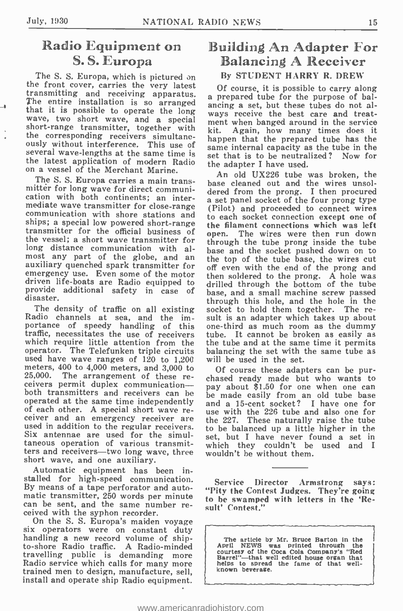## Radio Equipment on S. S. Europa

The S. S. Europa, which is pictured on the S. S. Europa, which is pictured on the S. O. T. T. S. T. T. S. T. S. T. S. T. S. T. T. S. T. T. S. T. T. S. T. T. S. T. T. T. S. T. T. T. T. T. S. T. T. T. T. T. T. T. T. T. T. T. The entire installation is so arranged<br>that it is possible to operate the long<br>wave, two short wave, and a special short-range transmitter, together with  $\frac{m}{k}$ the corresponding receivers simultane-Interference or responding receivers simultance happen that the prepared tube has the ously without interference. This use of same internal capacity as the tube in the several wave-lengths at the same time is set that is the latest application of modern Radio on a vessel of the Merchant Marine.

The S. S. Europa carries a main transmitter for long wave for direct communication with both continents; an inter-<br>mediate wave transmitter for close-range mediate wave transmitter for close-range (Pilot) and proceeded to connect wires<br>communication with shore stations and shore shore shore stations which was left<br>ships; a special low powered short-range the filament connecti the vessel; a short wave transmitter for long distance communication with al-<br>most any part of the globe, and an the<br>auxiliary quenched spark transmitter for off emergency use. Even some of the motor then soldered to the prong. A hole was<br>driven life-boats are Radio equipped to drilled through the bottom of the tube provide additional safety in case of base, and a small machine screw passed disaster.

The density of traffic on all existing Radio channels at sea, and the im-Radio channels at sea, and the im-<br>portance of speedy handling of this one-third as much room as the dummy<br>traffic, necessitates the use of receivers tube. It cannot be broken as easily as traffic, necessitates the use of receivers tube. It cannot be broken as easily as which require little attention from the the tube and at the same time it permits which require little attention from the operator. The Telefunken triple circuits balancing the set with used have wave ranges of  $120$  to  $1,200$  will be used in the set. used have wave ranges of 120 to 1,200 meters, 400 to 4,000 meters, and 3,000 to of course these adapters can be pur-<br>25,000. The arrangement of these re- abosed ready made but who wents to The arrangement of these receivers permit duplex communicationboth transmitters and receivers can be operated at the same time independently of each other. A special short wave re-<br>ceiver and an emergency receiver are  $\epsilon$  the 227. These naturally raise the tube used in addition to the regular receivers. Six antennae are used for the simultaneous operation of various transmitters and receivers-two long wave, three short wave, and one auxiliary.

Automatic equipment has been installed for high-speed communication. Service Director Armstrong By means of a tape perforator and automatic transmitter, 250 words per minute can be sent, and the same number received with the syphon recorder.<br>On the S. S. Europa's maiden voyage

six operators were on constant duty<br>handling a new record volume of ship-<br>to-shore Radio traffic. A Radio-minded<br>travelling public is demanding more Radio service which calls for many more trained men to design, manufacture, sell, install and operate ship Radio equipment.

## **Building An Adapter For Balancing A Receiver** By STUDENT HARRY R. DREW

a prepared tube for the purpose of balancing a set, but these tubes do not always receive the best care and treatment when banged around in the service Again, how many times does it same internal capacity as the tube in the set that is to be neutralized? Now for the adapter I have used.

An old UX226 tube was broken, the base cleaned out and the wires unsoldered from the prong. I then procured a set panel socket of the four prong type to each socket connection except one of the filament connections which was left The wires were then run down through the tube prong inside the tube base and the socket pushed down on to the top of the tube base, the wires cut off even with the end of the prong and then soldered to the prong. A hole was through this hole, and the hole in the socket to hold them together. The rebalancing the set with the same tube as

chased ready made but who wants to pay about \$1.50 for one when one can be made easily from an old tube base and a 15 -cent socket? I have one for use with the 226 tube and also one for the 227. These naturally raise the tube to be balanced up a little higher in the set, but I have never found a set in which they couldn't be used and I wouldn't be without them.

Service Director Armstrong says: "Pity the Contest Judges. They're going to be swamped with letters in the `Result' Contest."

The article by Mr. Bruce Barton in the April NEWS was printed through the courtesy of the Coca Cola Company's "Red Barrel"—that well edited house organ that helps to spread the fame of that well-<br>helps to spread the fame o

J